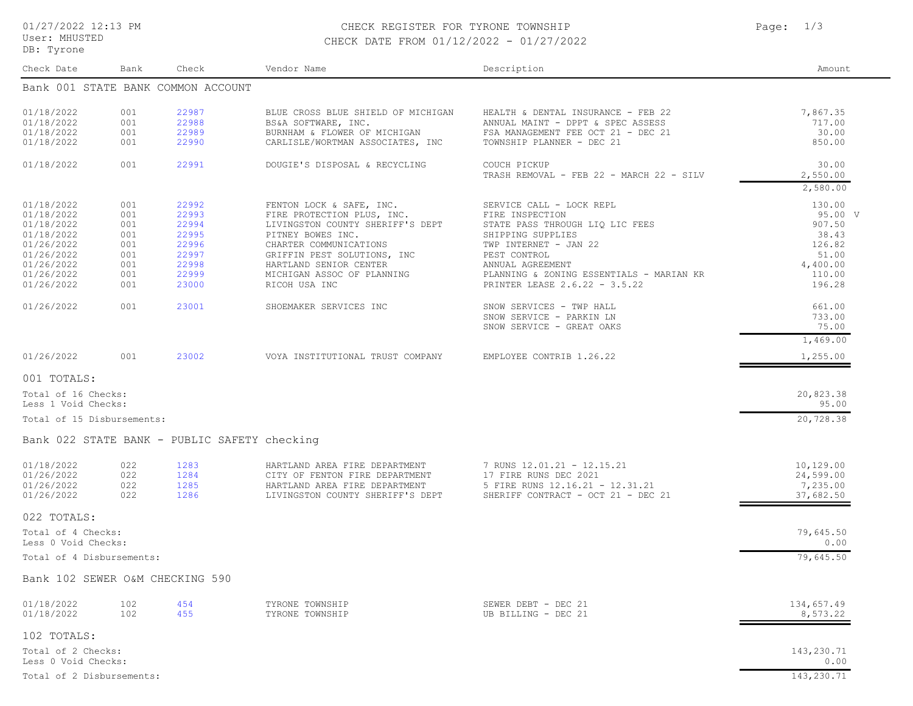User: MHUSTED DB: Tyrone

## 01/27/2022 12:13 PM CHECK REGISTER FOR TYRONE TOWNSHIP Page: 1/3 CHECK DATE FROM 01/12/2022 - 01/27/2022

Check Date Bank Check Vendor Name Description Amount Bank 001 STATE BANK COMMON ACCOUNT 01/18/2022 001 22987 BLUE CROSS BLUE SHIELD OF MICHIGAN HEALTH & DENTAL INSURANCE - FEB 22 7,867.35<br>01/18/2022 001 22988 BS&A SOFTWARE, INC. ANNUAL MAINT - DPPT & SPEC ASSESS 717.00 01/18/2022 001 22988 BS&A SOFTWARE, INC. ANNUAL MAINT - DPPT & SPEC ASSESS 717.00<br>01/18/2022 001 22989 BURNHAM & FLOWER OF MICHIGAN FSA MANAGEMENT FEE OCT 21 - DEC 21 30.00 01/18/2022 001 22989 BURNHAM & FLOWER OF MICHIGAN FSA MANAGEMENT FEE OCT 21 - DEC 21 30.00<br>01/18/2022 001 22990 CARLISLE/WORTMAN ASSOCIATES, INC TOWNSHIP PLANNER - DEC 21 30.00 CARLISLE/WORTMAN ASSOCIATES, INC 01/18/2022 001 22991 DOUGIE'S DISPOSAL & RECYCLING COUCH PICKUP COUCH - FEB 22 - MARCH 22 - SILV 2.550.00 TRASH REMOVAL - FEB 22 - MARCH 22 - SILV 2,580.00 01/18/2022 001 22992 FENTON LOCK & SAFE, INC. SERVICE CALL - LOCK REPL 130.00<br>01/18/2022 001 22993 FIRE PROTECTION PLUS, INC. FIRE INSPECTION 01/18/2022 001 22993 FIRE PROTECTION PLUS, INC. FIRE INSPECTION<br>01/18/2022 001 22994 I.IVINGSTON COUNTY SHERIFF'S DEPT STATE PASS THROUGH LIO LIC FEES (907.50 07.50 01/18/2022 001 22994 LIVINGSTON COUNTY SHERIFF'S DEPT STATE PASS THROUGH LIQ LIC FEES 001 22994 907.50<br>01/18/2022 001 22995 PITNEY BOWES INC. SHIPPING SUPPLIES 01/18/2022 001 22995 PITNEY BOWES INC. SHIPPING SUPPLIES 38.43 01/26/2022 001 22996 CHARTER COMMUNICATIONS TWP INTERNET - JAN 22 126.82<br>01/26/2022 001 22997 GRIFFIN PEST SOLUTIONS, INC PEST CONTROL 01/26/2022 001 22997 GRIFFIN PEST SOLUTIONS, INC PEST CONTROL PERT CONTROL 51.00<br>01/26/2022 001 22998 HARTLAND SENTOR CENTER ANNUAL AGREEMENT 01/26/2022 001 22998 HARTLAND SENIOR CENTER ANNUAL AGREEMENT (4,400.00 1996) 01/26/2022 001 22999 4,400.00<br>10.00 1/26/2022 001 22999 MICHIGAN ASSOC OF PLANNING PLANNING & ZONING ESSENTIALS - MARIAN KR 001 22999 MICHIGAN ASSOC OF PLANNING PLANNING & ZONING ESSENTIALS - MARIAN KR 110.00<br>001 23000 RICOH USA INC 01/26/2022 001 23000 RICOH USA INC PRINTER LEASE 2.6.22 - 3.5.22 01/26/2022 001 23001 SHOEMAKER SERVICES INC SNOW SERVICES - TWP HALL 661.00<br>33.00 SNOW SERVICE - PARKIN LN SNOW SERVICE - PARKIN LN SNOW SERVICE - GREAT OAKS 75.00 1,469.00 01/26/2022 001 23002 VOYA INSTITUTIONAL TRUST COMPANY EMPLOYEE CONTRIB 1.26.22 1,255.00 001 TOTALS: Total of 15 Disbursements: 20,728.38 Less 1 Void Checks: 95.00 Total of 16 Checks: 20,823.38 Bank 022 STATE BANK - PUBLIC SAFETY checking 01/18/2022 022 1283 HARTLAND AREA FIRE DEPARTMENT 7 RUNS 12.01.21 - 12.15.21 10,129.00<br>01/26/2022 022 1284 CITY OF FENTON FIRE DEPARTMENT 17 FIRE RUNS DEC 2021 01/26/2022 022 1284 CITY OF FENTON FIRE DEPARTMENT 17 FIRE RUNS DEC 2021 24,599.00<br>01/26/2022 022 1285 HARTLAND AREA FIRE DEPARTMENT 5 FIRE RUNS 12.16.21 - 12.31.21 7,235.00 01/26/2022 022 1285 HARTLAND AREA FIRE DEPARTMENT 5 FIRE RUNS 12.16.21 - 12.31.21 1 022 12.35.00<br>01/26/2022 022 1286 LIVINGSTON COUNTY SHERIFF'S DEPT SHERIFF CONTRACT - OCT 21 - DEC 21 37,682.50 LIVINGSTON COUNTY SHERIFF'S DEPT 022 TOTALS: Total of 4 Disbursements: 79,645.50 Less 0 Void Checks: 0.00 Total of 4 Checks: 79,645.50 Bank 102 SEWER O&M CHECKING 590 01/18/2022 102 454 TYRONE TOWNSHIP SEWER DEBT - DEC 21 134,657.49 01/18/2022 102 455 TYRONE TOWNSHIP UB BILLING - DEC 21 8,573.22  $102$  TOTALS $\cdot$ Total of 2 Disbursements: 143,230.71 Less 0 Void Checks: 0.00  $Total of 2 \text{ Checks}:$   $143,230.71$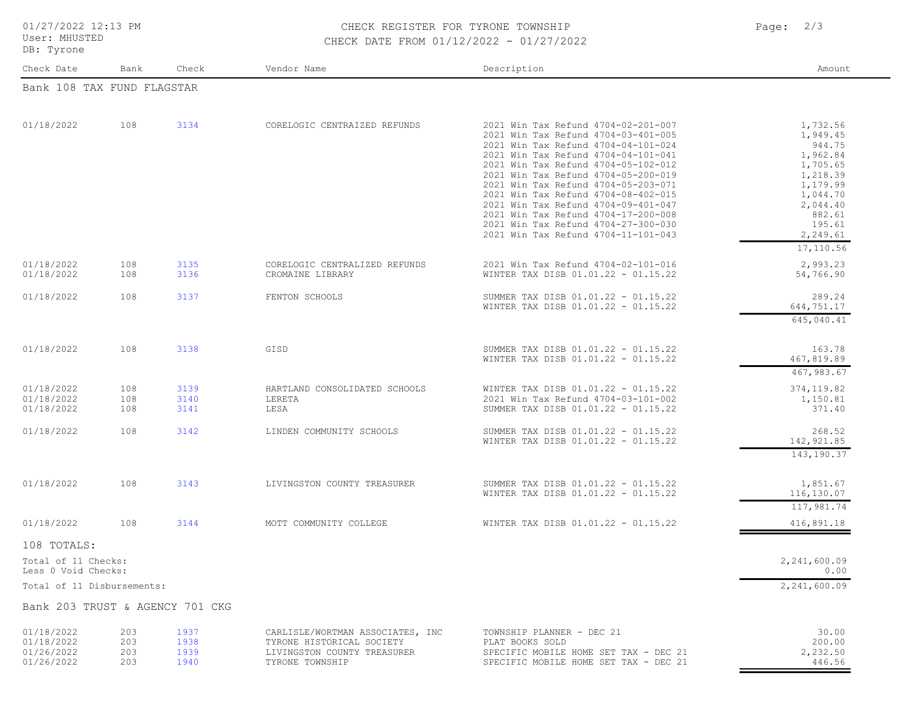User: MHUSTED DB: Tyrone

## 01/27/2022 12:13 PM CHECK REGISTER FOR TYRONE TOWNSHIP Page: 2/3 CHECK DATE FROM 01/12/2022 - 01/27/2022

| Check Date                                                                              | Bank                     | Check                        | Vendor Name                                                                                                     | Description                                                                                                                                                                                                                                                                                                                                                                                                                                                                      | Amount                                                                                                                                              |
|-----------------------------------------------------------------------------------------|--------------------------|------------------------------|-----------------------------------------------------------------------------------------------------------------|----------------------------------------------------------------------------------------------------------------------------------------------------------------------------------------------------------------------------------------------------------------------------------------------------------------------------------------------------------------------------------------------------------------------------------------------------------------------------------|-----------------------------------------------------------------------------------------------------------------------------------------------------|
| Bank 108 TAX FUND FLAGSTAR                                                              |                          |                              |                                                                                                                 |                                                                                                                                                                                                                                                                                                                                                                                                                                                                                  |                                                                                                                                                     |
| 01/18/2022                                                                              | 108                      | 3134                         | CORELOGIC CENTRAIZED REFUNDS                                                                                    | 2021 Win Tax Refund 4704-02-201-007<br>2021 Win Tax Refund 4704-03-401-005<br>2021 Win Tax Refund 4704-04-101-024<br>2021 Win Tax Refund 4704-04-101-041<br>2021 Win Tax Refund 4704-05-102-012<br>2021 Win Tax Refund 4704-05-200-019<br>2021 Win Tax Refund 4704-05-203-071<br>2021 Win Tax Refund 4704-08-402-015<br>2021 Win Tax Refund 4704-09-401-047<br>2021 Win Tax Refund 4704-17-200-008<br>2021 Win Tax Refund 4704-27-300-030<br>2021 Win Tax Refund 4704-11-101-043 | 1,732.56<br>1,949.45<br>944.75<br>1,962.84<br>1,705.65<br>1,218.39<br>1,179.99<br>1,044.70<br>2,044.40<br>882.61<br>195.61<br>2,249.61<br>17,110.56 |
| 01/18/2022<br>01/18/2022                                                                | 108<br>108               | 3135<br>3136                 | CORELOGIC CENTRALIZED REFUNDS<br>CROMAINE LIBRARY                                                               | 2021 Win Tax Refund 4704-02-101-016<br>WINTER TAX DISB 01.01.22 - 01.15.22                                                                                                                                                                                                                                                                                                                                                                                                       | 2,993.23<br>54,766.90                                                                                                                               |
| 01/18/2022                                                                              | 108                      | 3137                         | FENTON SCHOOLS                                                                                                  | SUMMER TAX DISB 01.01.22 - 01.15.22<br>WINTER TAX DISB 01.01.22 - 01.15.22                                                                                                                                                                                                                                                                                                                                                                                                       | 289.24<br>644,751.17<br>645,040.41                                                                                                                  |
| 01/18/2022                                                                              | 108                      | 3138                         | GISD                                                                                                            | SUMMER TAX DISB 01.01.22 - 01.15.22<br>WINTER TAX DISB 01.01.22 - 01.15.22                                                                                                                                                                                                                                                                                                                                                                                                       | 163.78<br>467,819.89<br>467,983.67                                                                                                                  |
| 01/18/2022<br>01/18/2022<br>01/18/2022                                                  | 108<br>108<br>108        | 3139<br>3140<br>3141         | HARTLAND CONSOLIDATED SCHOOLS<br>LERETA<br>LESA                                                                 | WINTER TAX DISB 01.01.22 - 01.15.22<br>2021 Win Tax Refund 4704-03-101-002<br>SUMMER TAX DISB 01.01.22 - 01.15.22                                                                                                                                                                                                                                                                                                                                                                | 374, 119.82<br>1,150.81<br>371.40                                                                                                                   |
| 01/18/2022                                                                              | 108                      | 3142                         | LINDEN COMMUNITY SCHOOLS                                                                                        | SUMMER TAX DISB 01.01.22 - 01.15.22<br>WINTER TAX DISB 01.01.22 - 01.15.22                                                                                                                                                                                                                                                                                                                                                                                                       | 268.52<br>142, 921.85<br>143,190.37                                                                                                                 |
| 01/18/2022                                                                              | 108                      | 3143                         | LIVINGSTON COUNTY TREASURER                                                                                     | SUMMER TAX DISB 01.01.22 - 01.15.22<br>WINTER TAX DISB 01.01.22 - 01.15.22                                                                                                                                                                                                                                                                                                                                                                                                       | 1,851.67<br>116,130.07<br>117,981.74                                                                                                                |
| 01/18/2022                                                                              | 108                      | 3144                         | MOTT COMMUNITY COLLEGE                                                                                          | WINTER TAX DISB 01.01.22 - 01.15.22                                                                                                                                                                                                                                                                                                                                                                                                                                              | 416,891.18                                                                                                                                          |
| 108 TOTALS:<br>Total of 11 Checks:<br>Less 0 Void Checks:<br>Total of 11 Disbursements: |                          |                              |                                                                                                                 |                                                                                                                                                                                                                                                                                                                                                                                                                                                                                  | 2,241,600.09<br>0.00<br>2,241,600.09                                                                                                                |
| Bank 203 TRUST & AGENCY 701 CKG                                                         |                          |                              |                                                                                                                 |                                                                                                                                                                                                                                                                                                                                                                                                                                                                                  |                                                                                                                                                     |
| 01/18/2022<br>01/18/2022<br>01/26/2022<br>01/26/2022                                    | 203<br>203<br>203<br>203 | 1937<br>1938<br>1939<br>1940 | CARLISLE/WORTMAN ASSOCIATES, INC<br>TYRONE HISTORICAL SOCIETY<br>LIVINGSTON COUNTY TREASURER<br>TYRONE TOWNSHIP | TOWNSHIP PLANNER - DEC 21<br>PLAT BOOKS SOLD<br>SPECIFIC MOBILE HOME SET TAX - DEC 21<br>SPECIFIC MOBILE HOME SET TAX - DEC 21                                                                                                                                                                                                                                                                                                                                                   | 30.00<br>200.00<br>2,232.50<br>446.56                                                                                                               |